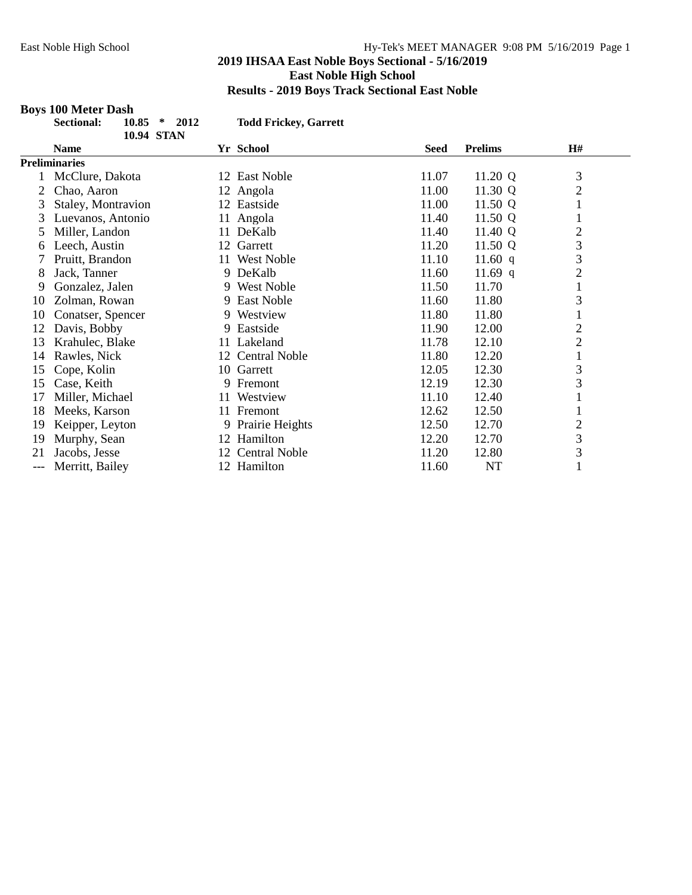# **Boys 100 Meter Dash**

| <b>Sectional:</b> | $10.85 * 2012$ |                   |  |  |
|-------------------|----------------|-------------------|--|--|
|                   |                | <b>10.94 STAN</b> |  |  |

**Sectional: 10.85 \* 2012 Todd Frickey, Garrett**

|     | Name                 |    | Yr School            | <b>Seed</b> | <b>Prelims</b> | H#             |
|-----|----------------------|----|----------------------|-------------|----------------|----------------|
|     | <b>Preliminaries</b> |    |                      |             |                |                |
|     | McClure, Dakota      |    | 12 East Noble        | 11.07       | 11.20 Q        | 3              |
| 2   | Chao, Aaron          |    | 12 Angola            | 11.00       | 11.30 Q        | $\overline{2}$ |
| 3   | Staley, Montravion   |    | 12 Eastside          | 11.00       | 11.50 Q        | 1              |
| 3   | Luevanos, Antonio    | 11 | Angola               | 11.40       | 11.50 Q        | 1              |
| 5.  | Miller, Landon       | 11 | DeKalb               | 11.40       | 11.40 Q        | $\overline{2}$ |
| 6   | Leech, Austin        |    | 12 Garrett           | 11.20       | 11.50 Q        | 3              |
|     | Pruitt, Brandon      |    | 11 West Noble        | 11.10       | 11.60 $q$      | 3              |
| 8   | Jack, Tanner         |    | 9 DeKalb             | 11.60       | 11.69 q        | $\overline{2}$ |
| 9   | Gonzalez, Jalen      |    | 9 West Noble         | 11.50       | 11.70          | $\mathbf{1}$   |
| 10  | Zolman, Rowan        |    | 9 East Noble         | 11.60       | 11.80          | 3              |
| 10  | Conatser, Spencer    |    | 9 Westview           | 11.80       | 11.80          | 1              |
| 12  | Davis, Bobby         |    | 9 Eastside           | 11.90       | 12.00          | $\overline{2}$ |
| 13  | Krahulec, Blake      |    | 11 Lakeland          | 11.78       | 12.10          | $\overline{2}$ |
| 14  | Rawles, Nick         |    | 12 Central Noble     | 11.80       | 12.20          | 1              |
| 15  | Cope, Kolin          |    | 10 Garrett           | 12.05       | 12.30          | $\mathfrak{Z}$ |
| 15  | Case, Keith          |    | 9 Fremont            | 12.19       | 12.30          | 3              |
| 17  | Miller, Michael      | 11 | Westview             | 11.10       | 12.40          |                |
| 18  | Meeks, Karson        |    | 11 Fremont           | 12.62       | 12.50          |                |
| 19  | Keipper, Leyton      |    | 9 Prairie Heights    | 12.50       | 12.70          | $\overline{c}$ |
| 19  | Murphy, Sean         |    | 12 Hamilton          | 12.20       | 12.70          | 3              |
| 21  | Jacobs, Jesse        | 12 | <b>Central Noble</b> | 11.20       | 12.80          | $\mathfrak{Z}$ |
| --- | Merritt, Bailey      |    | 12 Hamilton          | 11.60       | NT             | 1              |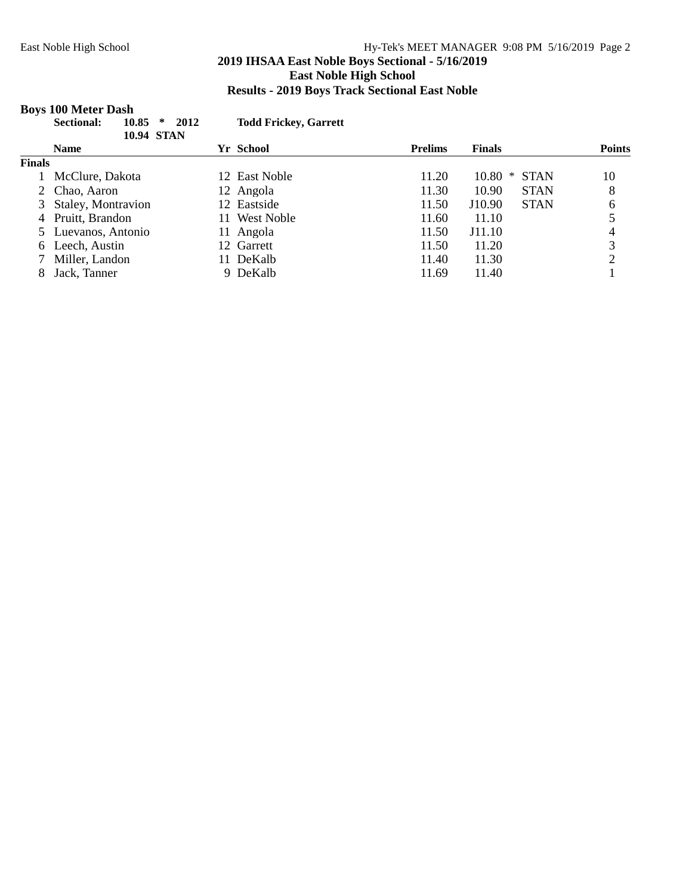# **2019 IHSAA East Noble Boys Sectional - 5/16/2019 East Noble High School Results - 2019 Boys Track Sectional East Noble**

# **Boys 100 Meter Dash**

|               | 10.85<br>∗<br><b>Sectional:</b><br><b>10.94 STAN</b> | 2012<br><b>Todd Frickey, Garrett</b> |                |                       |               |
|---------------|------------------------------------------------------|--------------------------------------|----------------|-----------------------|---------------|
|               | <b>Name</b>                                          | Yr School                            | <b>Prelims</b> | <b>Finals</b>         | <b>Points</b> |
| <b>Finals</b> |                                                      |                                      |                |                       |               |
|               | McClure, Dakota                                      | 12 East Noble                        | 11.20          | <b>STAN</b><br>10.80  | 10            |
|               | 2 Chao, Aaron                                        | 12 Angola                            | 11.30          | 10.90<br><b>STAN</b>  | 8             |
|               | 3 Staley, Montravion                                 | 12 Eastside                          | 11.50          | <b>STAN</b><br>J10.90 | 6             |
|               | 4 Pruitt, Brandon                                    | 11 West Noble                        | 11.60          | 11.10                 |               |
|               | 5 Luevanos, Antonio                                  | 11 Angola                            | 11.50          | J11.10                |               |
|               | 6 Leech, Austin                                      | 12 Garrett                           | 11.50          | 11.20                 | 3             |
|               | Miller, Landon                                       | 11 DeKalb                            | 11.40          | 11.30                 | ∍             |
|               | Jack, Tanner                                         | 9 DeKalb                             | 11.69          | 11.40                 |               |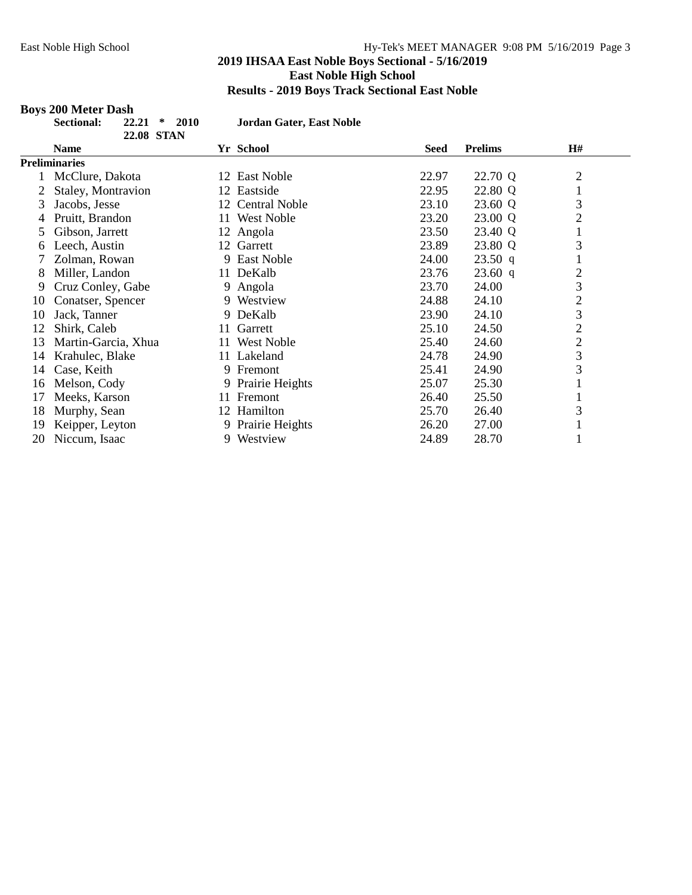# **Boys 200 Meter Dash**

| <b>Sectional:</b> | 22.21 | $\ast$     | 2010 |
|-------------------|-------|------------|------|
|                   |       | 22.08 STAN |      |

**Sectional: 22.21 \* 2010 Jordan Gater, East Noble**

|    | 22.00 DIAI           |    |                   |             |                |                |
|----|----------------------|----|-------------------|-------------|----------------|----------------|
|    | Name                 |    | Yr School         | <b>Seed</b> | <b>Prelims</b> | H#             |
|    | <b>Preliminaries</b> |    |                   |             |                |                |
|    | McClure, Dakota      |    | 12 East Noble     | 22.97       | 22.70 Q        | $\overline{c}$ |
|    | Staley, Montravion   |    | 12 Eastside       | 22.95       | 22.80 Q        | 1              |
| 3  | Jacobs, Jesse        |    | 12 Central Noble  | 23.10       | 23.60 Q        | 3              |
|    | Pruitt, Brandon      | 11 | <b>West Noble</b> | 23.20       | 23.00 Q        | $\overline{2}$ |
| 5. | Gibson, Jarrett      |    | 12 Angola         | 23.50       | 23.40 Q        | 1              |
| 6  | Leech, Austin        |    | 12 Garrett        | 23.89       | 23.80 Q        | 3              |
|    | Zolman, Rowan        |    | 9 East Noble      | 24.00       | 23.50 q        | $\mathbf{r}$   |
| 8  | Miller, Landon       | 11 | DeKalb            | 23.76       | 23.60 q        | $\overline{2}$ |
| 9  | Cruz Conley, Gabe    |    | 9 Angola          | 23.70       | 24.00          | 3              |
| 10 | Conatser, Spencer    |    | 9 Westview        | 24.88       | 24.10          | $\overline{c}$ |
| 10 | Jack, Tanner         |    | 9 DeKalb          | 23.90       | 24.10          | 3              |
| 12 | Shirk, Caleb         | 11 | Garrett           | 25.10       | 24.50          | $\overline{2}$ |
| 13 | Martin-Garcia, Xhua  | 11 | <b>West Noble</b> | 25.40       | 24.60          | $\overline{2}$ |
| 14 | Krahulec, Blake      |    | 11 Lakeland       | 24.78       | 24.90          | 3              |
| 14 | Case, Keith          | 9. | Fremont           | 25.41       | 24.90          | 3              |
| 16 | Melson, Cody         |    | 9 Prairie Heights | 25.07       | 25.30          | T              |
| 17 | Meeks, Karson        | 11 | Fremont           | 26.40       | 25.50          |                |
| 18 | Murphy, Sean         |    | 12 Hamilton       | 25.70       | 26.40          | 3              |
| 19 | Keipper, Leyton      |    | 9 Prairie Heights | 26.20       | 27.00          | T              |
| 20 | Niccum, Isaac        |    | 9 Westview        | 24.89       | 28.70          |                |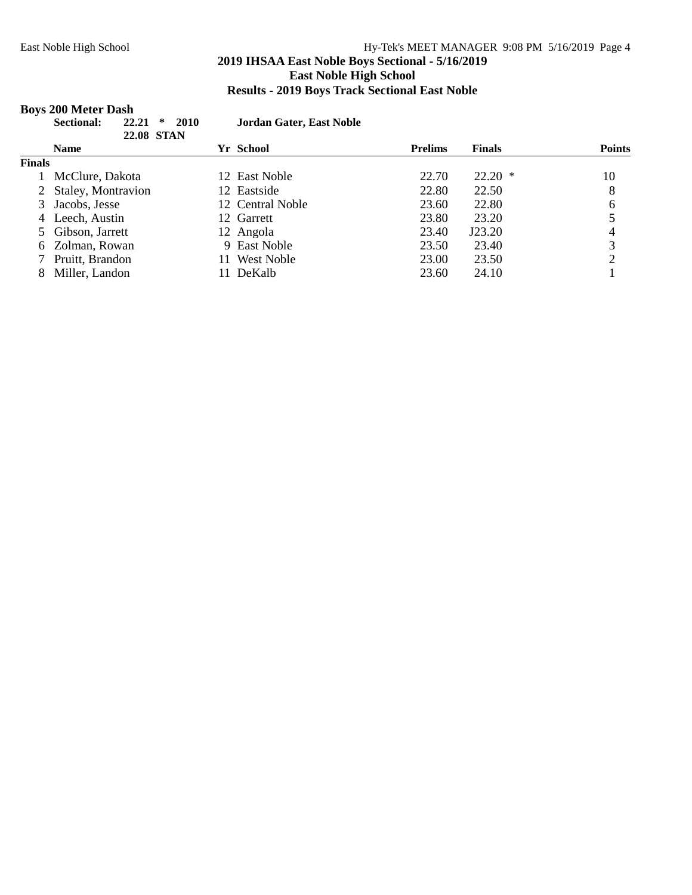# **2019 IHSAA East Noble Boys Sectional - 5/16/2019 East Noble High School Results - 2019 Boys Track Sectional East Noble**

#### **Boys 200 Meter Dash**

| $ \bullet$ | <b>Sectional:</b> | $22.21 * 2010$    |  |  |
|------------|-------------------|-------------------|--|--|
|            |                   | <b>22.08 STAN</b> |  |  |

**Sectional: 22.21 \* 2010 Jordan Gater, East Noble**

|               | 44.VO DIAN           |                         |                |               |               |
|---------------|----------------------|-------------------------|----------------|---------------|---------------|
|               | <b>Name</b>          | Yr School               | <b>Prelims</b> | <b>Finals</b> | <b>Points</b> |
| <b>Finals</b> |                      |                         |                |               |               |
|               | McClure, Dakota      | 12 East Noble           | 22.70          | $22.20*$      | 10            |
|               | 2 Staley, Montravion | 12 Eastside             | 22.80          | 22.50         | 8             |
|               | 3 Jacobs, Jesse      | 12 Central Noble        | 23.60          | 22.80         | 6             |
|               | 4 Leech, Austin      | 12 Garrett              | 23.80          | 23.20         |               |
|               | 5 Gibson, Jarrett    | 12 Angola               | 23.40          | J23.20        | 4             |
|               | 6 Zolman, Rowan      | 9 East Noble            | 23.50          | 23.40         | 3             |
|               | 7 Pruitt, Brandon    | <b>West Noble</b><br>11 | 23.00          | 23.50         |               |
|               | Miller, Landon       | DeKalb<br>11.           | 23.60          | 24.10         |               |
|               |                      |                         |                |               |               |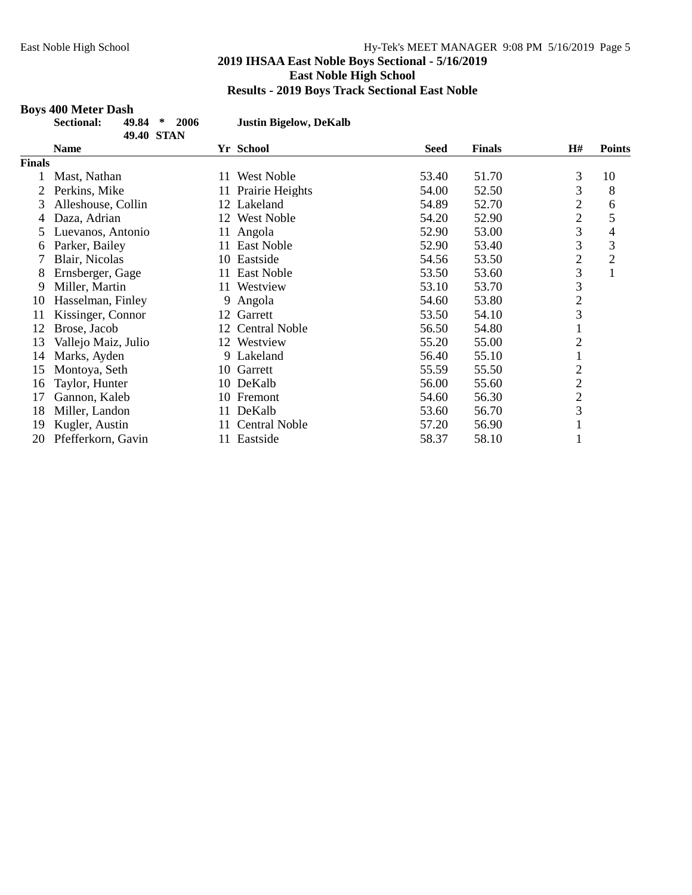# **Boys 400 Meter Dash**

| ectional: | 49.84 | $\rightarrow$ | 2006 |
|-----------|-------|---------------|------|
|           |       | 49.40 STAN    |      |

 $Justin Bigelow, DeKalb$ 

| <b>DELLI</b>  |                     |                            |             |               |                |                |
|---------------|---------------------|----------------------------|-------------|---------------|----------------|----------------|
|               | <b>Name</b>         | Yr School                  | <b>Seed</b> | <b>Finals</b> | <b>H#</b>      | <b>Points</b>  |
| <b>Finals</b> |                     |                            |             |               |                |                |
|               | Mast, Nathan        | West Noble<br>11.          | 53.40       | 51.70         | 3              | 10             |
|               | Perkins, Mike       | 11 Prairie Heights         | 54.00       | 52.50         | 3              | 8              |
| 3             | Alleshouse, Collin  | 12 Lakeland                | 54.89       | 52.70         | $\overline{c}$ | 6              |
| 4             | Daza, Adrian        | <b>West Noble</b><br>12    | 54.20       | 52.90         | $\overline{2}$ | 5              |
| 5             | Luevanos, Antonio   | Angola<br>11               | 52.90       | 53.00         | 3              | 4              |
| 6             | Parker, Bailey      | East Noble<br>11           | 52.90       | 53.40         | 3              | 3              |
|               | Blair, Nicolas      | 10 Eastside                | 54.56       | 53.50         | $\overline{c}$ | $\overline{2}$ |
| 8             | Ernsberger, Gage    | East Noble<br>11           | 53.50       | 53.60         | 3              | 1              |
| 9             | Miller, Martin      | Westview<br>11             | 53.10       | 53.70         | 3              |                |
| 10            | Hasselman, Finley   | 9 Angola                   | 54.60       | 53.80         | $\overline{2}$ |                |
| 11            | Kissinger, Connor   | Garrett<br>12              | 53.50       | 54.10         | 3              |                |
| 12            | Brose, Jacob        | 12 Central Noble           | 56.50       | 54.80         |                |                |
| 13            | Vallejo Maiz, Julio | 12 Westview                | 55.20       | 55.00         | 2              |                |
| 14            | Marks, Ayden        | 9 Lakeland                 | 56.40       | 55.10         |                |                |
| 15            | Montoya, Seth       | 10 Garrett                 | 55.59       | 55.50         | $\overline{2}$ |                |
| 16            | Taylor, Hunter      | 10 DeKalb                  | 56.00       | 55.60         | $\overline{c}$ |                |
| 17            | Gannon, Kaleb       | 10 Fremont                 | 54.60       | 56.30         | $\overline{c}$ |                |
| 18            | Miller, Landon      | DeKalb<br>11-              | 53.60       | 56.70         | 3              |                |
| 19            | Kugler, Austin      | <b>Central Noble</b><br>11 | 57.20       | 56.90         | $\bf{r}$       |                |
| 20            | Pfefferkorn, Gavin  | 11 Eastside                | 58.37       | 58.10         |                |                |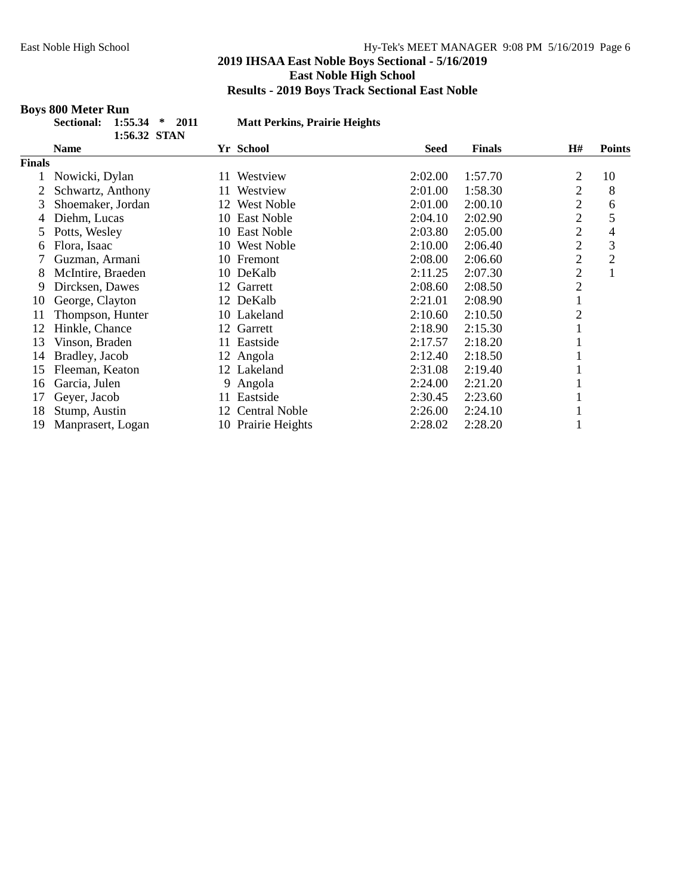#### **Boys 800 Meter Run**

**1:56.32 STAN**

**Sectional: 1:55.34 \* 2011 Matt Perkins, Prairie Heights**

|               | 10000 <i>00 U</i> LIN |               |                      |             |               |                |                |
|---------------|-----------------------|---------------|----------------------|-------------|---------------|----------------|----------------|
|               | <b>Name</b>           | Yr School     |                      | <b>Seed</b> | <b>Finals</b> | <b>H#</b>      | <b>Points</b>  |
| <b>Finals</b> |                       |               |                      |             |               |                |                |
|               | Nowicki, Dylan        | 11            | Westview             | 2:02.00     | 1:57.70       | 2              | 10             |
|               | Schwartz, Anthony     | 11            | Westview             | 2:01.00     | 1:58.30       | $\overline{2}$ | 8              |
| 3             | Shoemaker, Jordan     | 12            | <b>West Noble</b>    | 2:01.00     | 2:00.10       | $\overline{2}$ | 6              |
| 4             | Diehm, Lucas          | 10            | East Noble           | 2:04.10     | 2:02.90       | $\overline{c}$ | 5              |
| 5             | Potts, Wesley         | 10            | <b>East Noble</b>    | 2:03.80     | 2:05.00       | $\overline{c}$ | 4              |
| 6             | Flora, Isaac          | 10            | <b>West Noble</b>    | 2:10.00     | 2:06.40       | $\overline{2}$ | 3              |
|               | Guzman, Armani        | 10 Fremont    |                      | 2:08.00     | 2:06.60       | $\overline{c}$ | $\overline{2}$ |
| 8             | McIntire, Braeden     | 10 DeKalb     |                      | 2:11.25     | 2:07.30       | $\overline{2}$ |                |
| 9             | Dircksen, Dawes       | Garrett<br>12 |                      | 2:08.60     | 2:08.50       | $\overline{c}$ |                |
| 10            | George, Clayton       | 12 DeKalb     |                      | 2:21.01     | 2:08.90       |                |                |
| 11            | Thompson, Hunter      | 10 Lakeland   |                      | 2:10.60     | 2:10.50       | 2              |                |
| 12            | Hinkle, Chance        | Garrett<br>12 |                      | 2:18.90     | 2:15.30       |                |                |
| 13            | Vinson, Braden        | 11            | Eastside             | 2:17.57     | 2:18.20       |                |                |
| 14            | Bradley, Jacob        | 12 Angola     |                      | 2:12.40     | 2:18.50       |                |                |
| 15            | Fleeman, Keaton       | 12 Lakeland   |                      | 2:31.08     | 2:19.40       |                |                |
| 16            | Garcia, Julen         | 9 Angola      |                      | 2:24.00     | 2:21.20       |                |                |
| 17            | Geyer, Jacob          | 11            | Eastside             | 2:30.45     | 2:23.60       |                |                |
| 18            | Stump, Austin         | 12            | <b>Central Noble</b> | 2:26.00     | 2:24.10       |                |                |
| 19            | Manprasert, Logan     |               | 10 Prairie Heights   | 2:28.02     | 2:28.20       |                |                |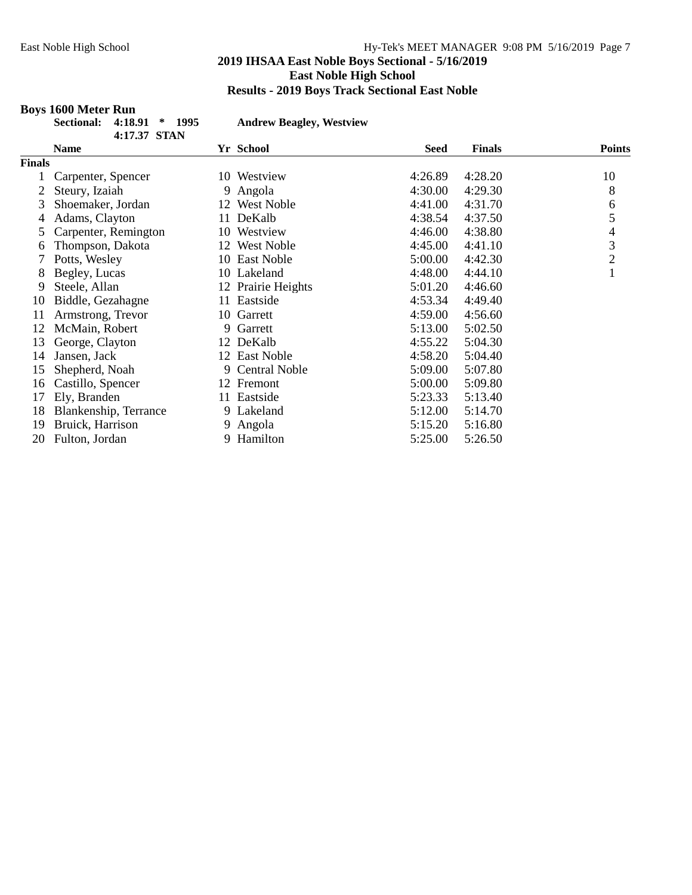## **Boys 1600 Meter Run**

**Sectional: 4:18.91 \* 1995 Andrew Beagley, Westview**

|               | 4:17.37 STAN          |                         |         |               |               |
|---------------|-----------------------|-------------------------|---------|---------------|---------------|
|               | <b>Name</b>           | Yr School               | Seed    | <b>Finals</b> | <b>Points</b> |
| <b>Finals</b> |                       |                         |         |               |               |
|               | Carpenter, Spencer    | Westview<br>10.         | 4:26.89 | 4:28.20       | 10            |
|               | Steury, Izaiah        | Angola<br>9.            | 4:30.00 | 4:29.30       | 8             |
| 3             | Shoemaker, Jordan     | 12 West Noble           | 4:41.00 | 4:31.70       | 6             |
| 4             | Adams, Clayton        | DeKalb<br>11            | 4:38.54 | 4:37.50       | 5             |
| 5             | Carpenter, Remington  | Westview<br>10          | 4:46.00 | 4:38.80       | 4             |
| 6             | Thompson, Dakota      | <b>West Noble</b><br>12 | 4:45.00 | 4:41.10       | 3             |
| 7             | Potts, Wesley         | 10 East Noble           | 5:00.00 | 4:42.30       | $\sqrt{2}$    |
| 8             | Begley, Lucas         | 10 Lakeland             | 4:48.00 | 4:44.10       | $\mathbf{1}$  |
| 9             | Steele, Allan         | 12 Prairie Heights      | 5:01.20 | 4:46.60       |               |
| 10            | Biddle, Gezahagne     | Eastside<br>11          | 4:53.34 | 4:49.40       |               |
| 11            | Armstrong, Trevor     | 10 Garrett              | 4:59.00 | 4:56.60       |               |
| 12            | McMain, Robert        | Garrett<br>9            | 5:13.00 | 5:02.50       |               |
| 13            | George, Clayton       | 12 DeKalb               | 4:55.22 | 5:04.30       |               |
| 14            | Jansen, Jack          | 12 East Noble           | 4:58.20 | 5:04.40       |               |
| 15            | Shepherd, Noah        | 9 Central Noble         | 5:09.00 | 5:07.80       |               |
| 16            | Castillo, Spencer     | 12 Fremont              | 5:00.00 | 5:09.80       |               |
| 17            | Ely, Branden          | 11 Eastside             | 5:23.33 | 5:13.40       |               |
| 18            | Blankenship, Terrance | 9 Lakeland              | 5:12.00 | 5:14.70       |               |
| 19            | Bruick, Harrison      | Angola<br>9.            | 5:15.20 | 5:16.80       |               |
| 20            | Fulton, Jordan        | Hamilton<br>9           | 5:25.00 | 5:26.50       |               |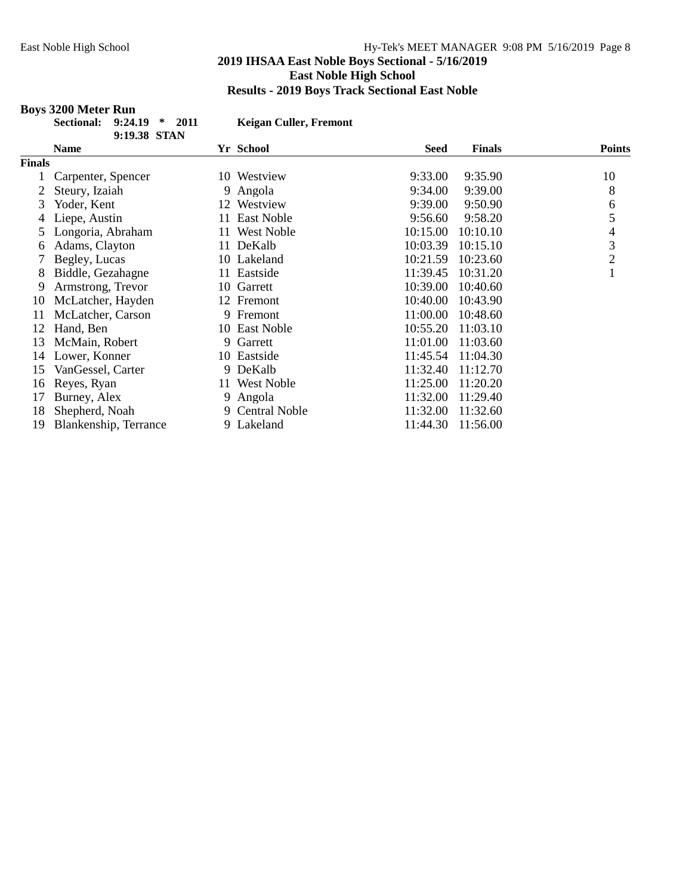# **Boys 3200 Meter Run**

| ectional: 9:24.19 * 2011 |              |  |
|--------------------------|--------------|--|
|                          | 9:19.38 STAN |  |

 $Keigan$  **Culler, Fremont** 

|               | <b>Name</b>           |     | Yr School         | Seed     | <b>Finals</b> | <b>Points</b>  |
|---------------|-----------------------|-----|-------------------|----------|---------------|----------------|
| <b>Finals</b> |                       |     |                   |          |               |                |
|               | Carpenter, Spencer    |     | 10 Westview       | 9:33.00  | 9:35.90       | 10             |
|               | Steury, Izaiah        |     | 9 Angola          | 9:34.00  | 9:39.00       | 8              |
| 3             | Yoder, Kent           | 12  | Westview          | 9:39.00  | 9:50.90       | 6              |
| 4             | Liepe, Austin         | 11  | East Noble        | 9:56.60  | 9:58.20       | 5              |
|               | Longoria, Abraham     | 11- | <b>West Noble</b> | 10:15.00 | 10:10.10      | 4              |
| 6             | Adams, Clayton        | 11  | DeKalb            | 10:03.39 | 10:15.10      | 3              |
|               | Begley, Lucas         |     | 10 Lakeland       | 10:21.59 | 10:23.60      | $\overline{2}$ |
| 8             | Biddle, Gezahagne     | 11  | Eastside          | 11:39.45 | 10:31.20      |                |
| 9             | Armstrong, Trevor     |     | 10 Garrett        | 10:39.00 | 10:40.60      |                |
| 10            | McLatcher, Hayden     |     | 12 Fremont        | 10:40.00 | 10:43.90      |                |
| 11            | McLatcher, Carson     | 9.  | Fremont           | 11:00.00 | 10:48.60      |                |
| 12            | Hand, Ben             | 10  | East Noble        | 10:55.20 | 11:03.10      |                |
| 13            | McMain, Robert        | 9.  | Garrett           | 11:01.00 | 11:03.60      |                |
| 14            | Lower, Konner         |     | 10 Eastside       | 11:45.54 | 11:04.30      |                |
| 15            | VanGessel, Carter     | 9   | DeKalb            | 11:32.40 | 11:12.70      |                |
| 16            | Reyes, Ryan           | 11  | <b>West Noble</b> | 11:25.00 | 11:20.20      |                |
| 17            | Burney, Alex          |     | 9 Angola          | 11:32.00 | 11:29.40      |                |
| 18            | Shepherd, Noah        |     | 9 Central Noble   | 11:32.00 | 11:32.60      |                |
| 19            | Blankenship, Terrance |     | 9 Lakeland        | 11:44.30 | 11:56.00      |                |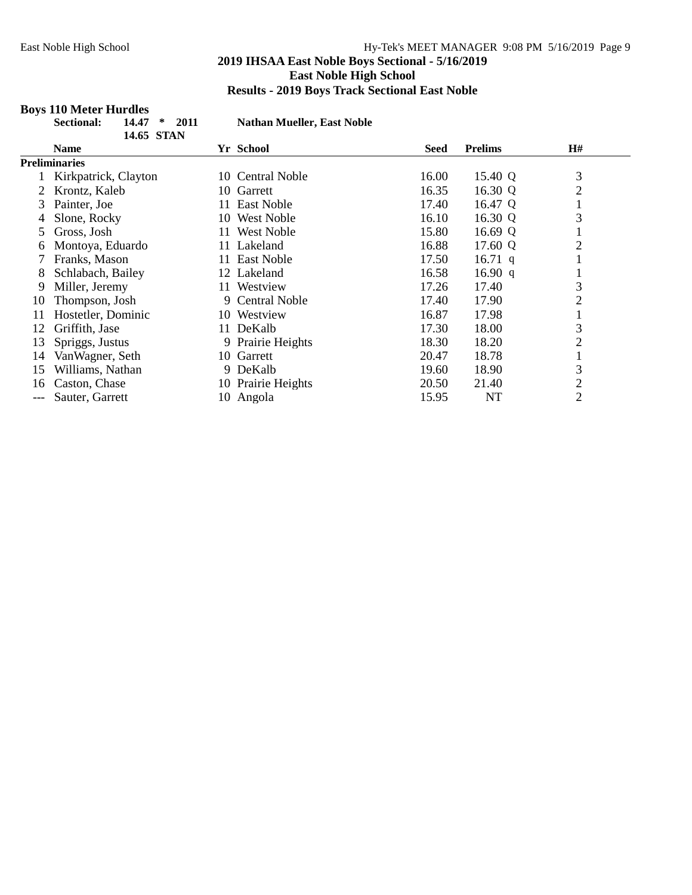# **Boys 110 Meter Hurdles**

| <b>Sectional:</b> | 14.47      | $*$ 2011 |
|-------------------|------------|----------|
|                   | 14.65 STAN |          |

**Sectional: 14.47 \* 2011 Nathan Mueller, East Noble**

|     | 1700 DIN             |                            |       |                |                |
|-----|----------------------|----------------------------|-------|----------------|----------------|
|     | <b>Name</b>          | Yr School                  | Seed  | <b>Prelims</b> | H#             |
|     | <b>Preliminaries</b> |                            |       |                |                |
|     | Kirkpatrick, Clayton | <b>Central Noble</b><br>10 | 16.00 | 15.40 Q        | 3              |
|     | Krontz, Kaleb        | Garrett<br>10-             | 16.35 | 16.30 Q        | $\overline{c}$ |
| 3   | Painter, Joe         | East Noble<br>11           | 17.40 | 16.47 Q        |                |
| 4   | Slone, Rocky         | <b>West Noble</b><br>10    | 16.10 | 16.30 Q        | 3              |
| 5.  | Gross, Josh          | West Noble<br>11           | 15.80 | 16.69 Q        |                |
| 6   | Montoya, Eduardo     | Lakeland<br>11.            | 16.88 | 17.60 Q        | $\overline{2}$ |
|     | Franks, Mason        | East Noble<br>11-          | 17.50 | 16.71 q        |                |
| 8   | Schlabach, Bailey    | 12 Lakeland                | 16.58 | 16.90 q        | Ŧ.             |
| 9   | Miller, Jeremy       | Westview<br>11.            | 17.26 | 17.40          | 3              |
| 10  | Thompson, Josh       | 9 Central Noble            | 17.40 | 17.90          | 2              |
| 11  | Hostetler, Dominic   | 10 Westview                | 16.87 | 17.98          | $\bf{I}$       |
| 12  | Griffith, Jase       | DeKalb<br>11-              | 17.30 | 18.00          | 3              |
| 13  | Spriggs, Justus      | 9 Prairie Heights          | 18.30 | 18.20          | $\overline{2}$ |
| 14  | Van Wagner, Seth     | Garrett<br>10-             | 20.47 | 18.78          |                |
| 15  | Williams, Nathan     | 9 DeKalb                   | 19.60 | 18.90          | 3              |
| 16  | Caston, Chase        | 10 Prairie Heights         | 20.50 | 21.40          | $\mathfrak{2}$ |
| --- | Sauter, Garrett      | 10 Angola                  | 15.95 | NT             | $\overline{2}$ |
|     |                      |                            |       |                |                |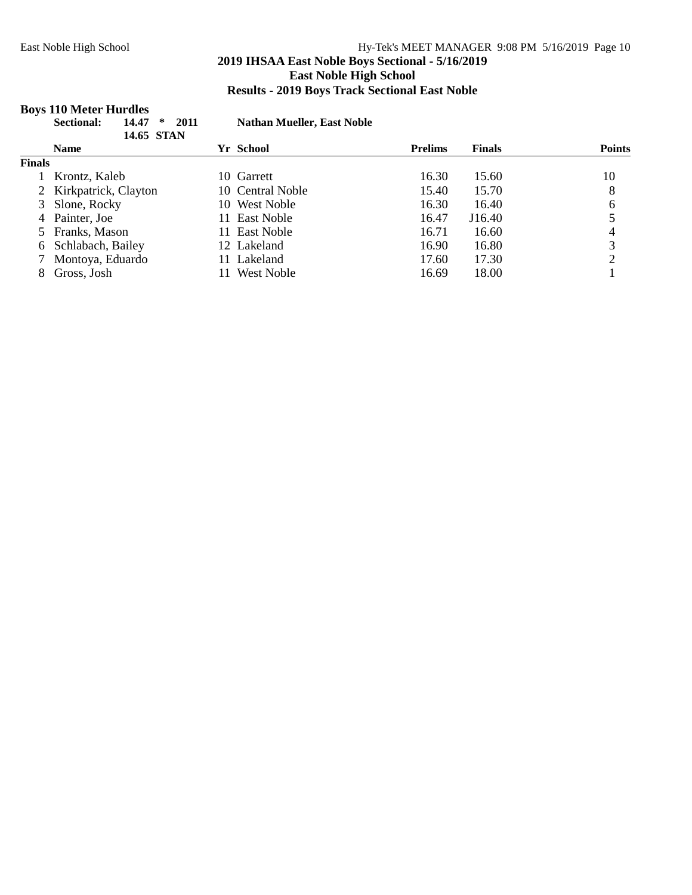# **2019 IHSAA East Noble Boys Sectional - 5/16/2019 East Noble High School Results - 2019 Boys Track Sectional East Noble**

# **Boys 110 Meter Hurdles**

|               | 14.47<br><b>Sectional:</b><br>∗<br>14.65 STAN | <b>Nathan Mueller, East Noble</b><br>2011 |                |               |               |
|---------------|-----------------------------------------------|-------------------------------------------|----------------|---------------|---------------|
|               | <b>Name</b>                                   | Yr School                                 | <b>Prelims</b> | <b>Finals</b> | <b>Points</b> |
| <b>Finals</b> |                                               |                                           |                |               |               |
|               | Krontz, Kaleb                                 | 10 Garrett                                | 16.30          | 15.60         | 10            |
|               | 2 Kirkpatrick, Clayton                        | 10 Central Noble                          | 15.40          | 15.70         | 8             |
|               | 3 Slone, Rocky                                | 10 West Noble                             | 16.30          | 16.40         | 6             |
|               | 4 Painter, Joe                                | East Noble<br>11.                         | 16.47          | J16.40        |               |
|               | 5 Franks, Mason                               | East Noble<br>11.                         | 16.71          | 16.60         |               |
|               | 6 Schlabach, Bailey                           | 12 Lakeland                               | 16.90          | 16.80         | 3             |
|               | Montoya, Eduardo                              | Lakeland<br>11.                           | 17.60          | 17.30         | ↑             |
| 8             | Gross, Josh                                   | West Noble                                | 16.69          | 18.00         |               |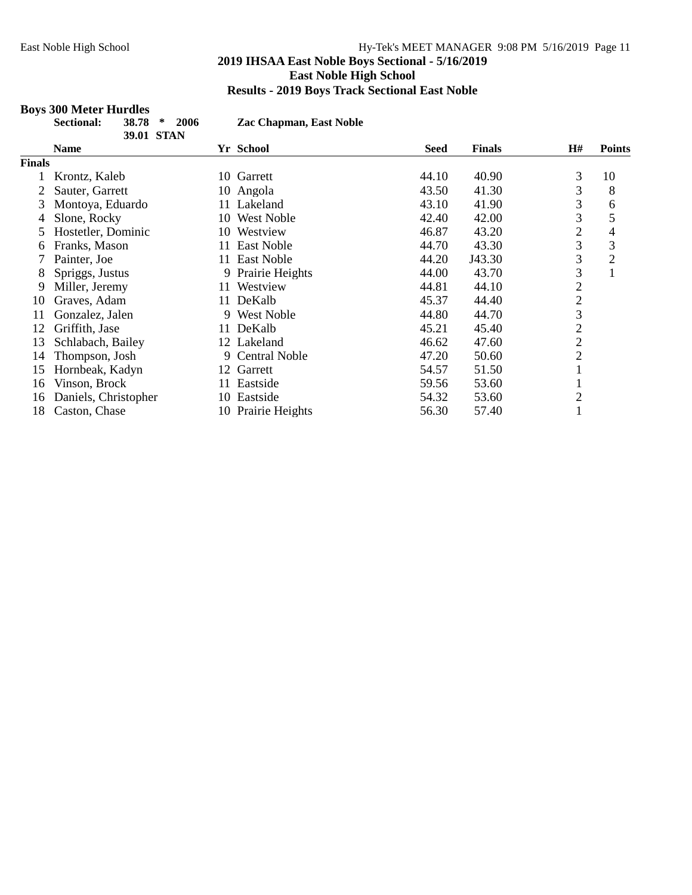# **2019 IHSAA East Noble Boys Sectional - 5/16/2019 East Noble High School Results - 2019 Boys Track Sectional East Noble**

# **Boys 300 Meter Hurdles**

| Sectional: | $38.78 * 2006$    |  |
|------------|-------------------|--|
|            | <b>39.01 STAN</b> |  |

**Sectional: 38.78 \* 2006 Zac Chapman, East Noble**

|               | <b>Name</b>          | Yr School                  | Seed  | <b>Finals</b> | H#             | <b>Points</b>  |
|---------------|----------------------|----------------------------|-------|---------------|----------------|----------------|
| <b>Finals</b> |                      |                            |       |               |                |                |
|               | Krontz, Kaleb        | Garrett<br>10              | 44.10 | 40.90         | 3              | 10             |
|               | Sauter, Garrett      | 10 Angola                  | 43.50 | 41.30         | 3              | 8              |
| 3             | Montoya, Eduardo     | 11 Lakeland                | 43.10 | 41.90         | 3              | 6              |
| 4             | Slone, Rocky         | <b>West Noble</b><br>10    | 42.40 | 42.00         | 3              | 5              |
| 5             | Hostetler, Dominic   | Westview<br>10             | 46.87 | 43.20         | $\overline{2}$ | 4              |
| 6             | Franks, Mason        | East Noble<br>11.          | 44.70 | 43.30         | 3              | 3              |
|               | Painter, Joe         | <b>East Noble</b><br>11    | 44.20 | J43.30        | 3              | $\overline{2}$ |
| 8             | Spriggs, Justus      | Prairie Heights<br>9.      | 44.00 | 43.70         | 3              |                |
| 9             | Miller, Jeremy       | Westview<br>11-            | 44.81 | 44.10         | $\overline{2}$ |                |
| 10            | Graves, Adam         | DeKalb<br>11-              | 45.37 | 44.40         | $\overline{c}$ |                |
| 11            | Gonzalez, Jalen      | <b>West Noble</b><br>9     | 44.80 | 44.70         | 3              |                |
| 12            | Griffith, Jase       | DeKalb<br>11-              | 45.21 | 45.40         | $\overline{c}$ |                |
| 13            | Schlabach, Bailey    | 12 Lakeland                | 46.62 | 47.60         | $\overline{2}$ |                |
| 14            | Thompson, Josh       | <b>Central Noble</b><br>9. | 47.20 | 50.60         | $\overline{2}$ |                |
| 15            | Hornbeak, Kadyn      | 12 Garrett                 | 54.57 | 51.50         |                |                |
| 16            | Vinson, Brock        | Eastside<br>11-            | 59.56 | 53.60         |                |                |
| 16            | Daniels, Christopher | 10 Eastside                | 54.32 | 53.60         | $\overline{2}$ |                |
| 18            | Caston, Chase        | 10 Prairie Heights         | 56.30 | 57.40         |                |                |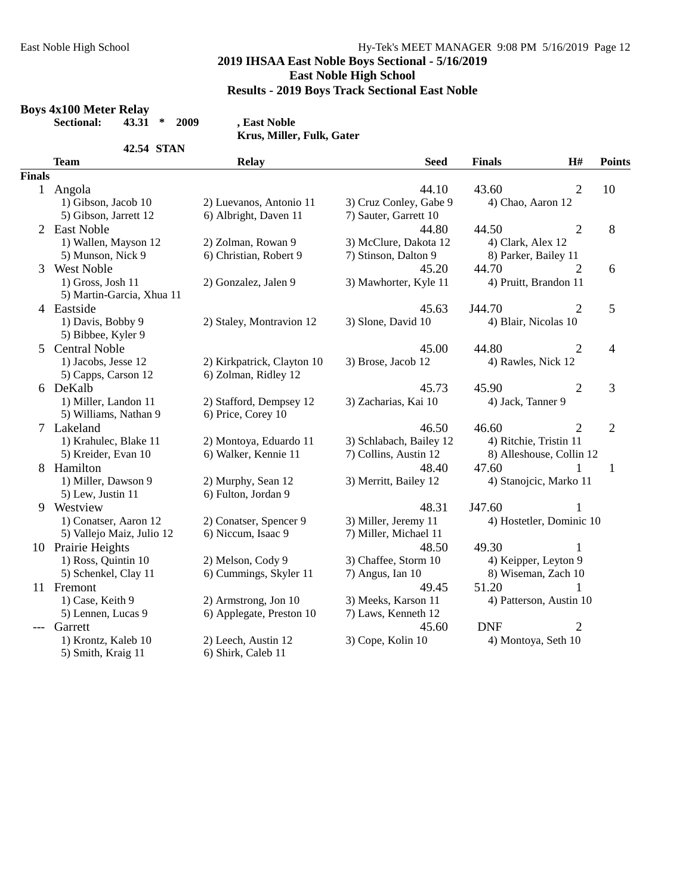## **2019 IHSAA East Noble Boys Sectional - 5/16/2019 East Noble High School**

**Results - 2019 Boys Track Sectional East Noble**

#### **Boys 4x100 Meter Relay**

**Sectional: 43.31 \* 2009 , East Noble**

|               |                                                | Krus, Miller, Fulk, Gater                          |                         |                    |                          |                |
|---------------|------------------------------------------------|----------------------------------------------------|-------------------------|--------------------|--------------------------|----------------|
|               | <b>42.54 STAN</b>                              |                                                    |                         |                    |                          |                |
|               | <b>Team</b>                                    | <b>Relay</b>                                       | <b>Seed</b>             | <b>Finals</b>      | H#                       | <b>Points</b>  |
| <b>Finals</b> |                                                |                                                    |                         |                    |                          |                |
|               | 1 Angola                                       |                                                    | 44.10                   | 43.60              | $\overline{2}$           | 10             |
|               | 1) Gibson, Jacob 10                            | 2) Luevanos, Antonio 11                            | 3) Cruz Conley, Gabe 9  | 4) Chao, Aaron 12  |                          |                |
|               | 5) Gibson, Jarrett 12                          | 6) Albright, Daven 11                              | 7) Sauter, Garrett 10   |                    |                          |                |
|               | 2 East Noble                                   |                                                    | 44.80                   | 44.50              | $\overline{2}$           | 8              |
|               | 1) Wallen, Mayson 12                           | 2) Zolman, Rowan 9                                 | 3) McClure, Dakota 12   | 4) Clark, Alex 12  |                          |                |
|               | 5) Munson, Nick 9                              | 6) Christian, Robert 9                             | 7) Stinson, Dalton 9    |                    | 8) Parker, Bailey 11     |                |
| 3             | <b>West Noble</b>                              |                                                    | 45.20                   | 44.70              | $\overline{2}$           | 6              |
|               | 1) Gross, Josh 11<br>5) Martin-Garcia, Xhua 11 | 2) Gonzalez, Jalen 9                               | 3) Mawhorter, Kyle 11   |                    | 4) Pruitt, Brandon 11    |                |
|               | 4 Eastside                                     |                                                    | 45.63                   | J44.70             | $\overline{2}$           | 5              |
|               | 1) Davis, Bobby 9<br>5) Bibbee, Kyler 9        | 2) Staley, Montravion 12                           | 3) Slone, David 10      |                    | 4) Blair, Nicolas 10     |                |
| 5             | <b>Central Noble</b>                           |                                                    | 45.00                   | 44.80              | $\overline{2}$           | $\overline{4}$ |
|               | 1) Jacobs, Jesse 12<br>5) Capps, Carson 12     | 2) Kirkpatrick, Clayton 10<br>6) Zolman, Ridley 12 | 3) Brose, Jacob 12      | 4) Rawles, Nick 12 |                          |                |
|               | 6 DeKalb                                       |                                                    | 45.73                   | 45.90              | $\overline{2}$           | 3              |
|               | 1) Miller, Landon 11<br>5) Williams, Nathan 9  | 2) Stafford, Dempsey 12<br>6) Price, Corey 10      | 3) Zacharias, Kai 10    | 4) Jack, Tanner 9  |                          |                |
|               | 7 Lakeland                                     |                                                    | 46.50                   | 46.60              | $\overline{2}$           | $\overline{2}$ |
|               | 1) Krahulec, Blake 11                          | 2) Montoya, Eduardo 11                             | 3) Schlabach, Bailey 12 |                    | 4) Ritchie, Tristin 11   |                |
|               | 5) Kreider, Evan 10                            | 6) Walker, Kennie 11                               | 7) Collins, Austin 12   |                    | 8) Alleshouse, Collin 12 |                |
| 8             | Hamilton                                       |                                                    | 48.40                   | 47.60              | 1                        | $\mathbf{1}$   |
|               | 1) Miller, Dawson 9<br>5) Lew, Justin 11       | 2) Murphy, Sean 12<br>6) Fulton, Jordan 9          | 3) Merritt, Bailey 12   |                    | 4) Stanojcic, Marko 11   |                |
| 9             | Westview                                       |                                                    | 48.31                   | J47.60             |                          |                |
|               | 1) Conatser, Aaron 12                          | 2) Conatser, Spencer 9                             | 3) Miller, Jeremy 11    |                    | 4) Hostetler, Dominic 10 |                |
|               | 5) Vallejo Maiz, Julio 12                      | 6) Niccum, Isaac 9                                 | 7) Miller, Michael 11   |                    |                          |                |
|               | 10 Prairie Heights                             |                                                    | 48.50                   | 49.30              | 1                        |                |
|               | 1) Ross, Quintin 10                            | 2) Melson, Cody 9                                  | 3) Chaffee, Storm 10    |                    | 4) Keipper, Leyton 9     |                |
|               | 5) Schenkel, Clay 11                           | 6) Cummings, Skyler 11                             | 7) Angus, Ian 10        |                    | 8) Wiseman, Zach 10      |                |
|               | 11 Fremont                                     |                                                    | 49.45                   | 51.20              | 1                        |                |
|               | 1) Case, Keith 9                               | 2) Armstrong, Jon 10                               | 3) Meeks, Karson 11     |                    | 4) Patterson, Austin 10  |                |
|               | 5) Lennen, Lucas 9                             | 6) Applegate, Preston 10                           | 7) Laws, Kenneth 12     |                    |                          |                |
|               | Garrett                                        |                                                    | 45.60                   | <b>DNF</b>         | $\overline{2}$           |                |
|               | 1) Krontz, Kaleb 10<br>5) Smith, Kraig 11      | 2) Leech, Austin 12<br>6) Shirk, Caleb 11          | 3) Cope, Kolin 10       |                    | 4) Montoya, Seth 10      |                |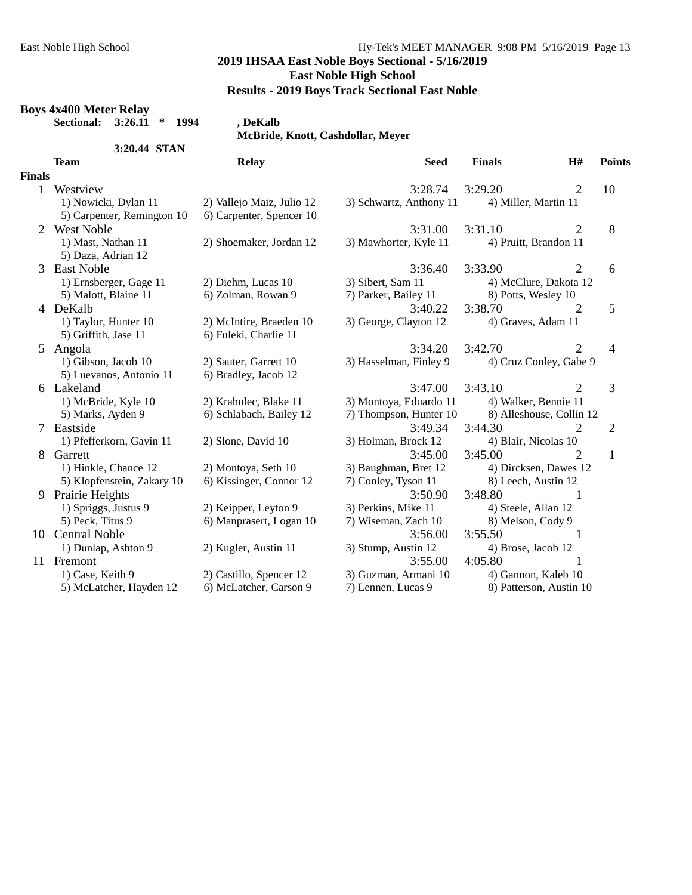## **2019 IHSAA East Noble Boys Sectional - 5/16/2019 East Noble High School**

**Results - 2019 Boys Track Sectional East Noble**

#### **Boys 4x400 Meter Relay**

**Sectional: 3:26.11 \* 1994 , DeKalb**

**McBride, Knott, Cashdollar, Meyer**

|               | 3:20.44 STAN               |                           |                         |                          |                |               |
|---------------|----------------------------|---------------------------|-------------------------|--------------------------|----------------|---------------|
|               | <b>Team</b>                | <b>Relay</b>              | <b>Seed</b>             | <b>Finals</b>            | H#             | <b>Points</b> |
| <b>Finals</b> |                            |                           |                         |                          |                |               |
| 1             | Westview                   |                           | 3:28.74                 | 3:29.20                  | 2              | 10            |
|               | 1) Nowicki, Dylan 11       | 2) Vallejo Maiz, Julio 12 | 3) Schwartz, Anthony 11 | 4) Miller, Martin 11     |                |               |
|               | 5) Carpenter, Remington 10 | 6) Carpenter, Spencer 10  |                         |                          |                |               |
| 2             | <b>West Noble</b>          |                           | 3:31.00                 | 3:31.10                  | $\overline{2}$ | 8             |
|               | 1) Mast, Nathan 11         | 2) Shoemaker, Jordan 12   | 3) Mawhorter, Kyle 11   | 4) Pruitt, Brandon 11    |                |               |
|               | 5) Daza, Adrian 12         |                           |                         |                          |                |               |
| 3             | <b>East Noble</b>          |                           | 3:36.40                 | 3:33.90                  | $\overline{2}$ | 6             |
|               | 1) Ernsberger, Gage 11     | 2) Diehm, Lucas 10        | 3) Sibert, Sam 11       | 4) McClure, Dakota 12    |                |               |
|               | 5) Malott, Blaine 11       | 6) Zolman, Rowan 9        | 7) Parker, Bailey 11    | 8) Potts, Wesley 10      |                |               |
|               | 4 DeKalb                   |                           | 3:40.22                 | 3:38.70                  | $\overline{2}$ | 5             |
|               | 1) Taylor, Hunter 10       | 2) McIntire, Braeden 10   | 3) George, Clayton 12   | 4) Graves, Adam 11       |                |               |
|               | 5) Griffith, Jase 11       | 6) Fuleki, Charlie 11     |                         |                          |                |               |
| 5             | Angola                     |                           | 3:34.20                 | 3:42.70                  | 2              | 4             |
|               | 1) Gibson, Jacob 10        | 2) Sauter, Garrett 10     | 3) Hasselman, Finley 9  | 4) Cruz Conley, Gabe 9   |                |               |
|               | 5) Luevanos, Antonio 11    | 6) Bradley, Jacob 12      |                         |                          |                |               |
|               | 6 Lakeland                 |                           | 3:47.00                 | 3:43.10                  | $\overline{2}$ | 3             |
|               | 1) McBride, Kyle 10        | 2) Krahulec, Blake 11     | 3) Montoya, Eduardo 11  | 4) Walker, Bennie 11     |                |               |
|               | 5) Marks, Ayden 9          | 6) Schlabach, Bailey 12   | 7) Thompson, Hunter 10  | 8) Alleshouse, Collin 12 |                |               |
| 7             | Eastside                   |                           | 3:49.34                 | 3:44.30                  | 2              | 2             |
|               | 1) Pfefferkorn, Gavin 11   | 2) Slone, David 10        | 3) Holman, Brock 12     | 4) Blair, Nicolas 10     |                |               |
| 8             | Garrett                    |                           | 3:45.00                 | 3:45.00                  | $\overline{2}$ | $\mathbf{1}$  |
|               | 1) Hinkle, Chance 12       | 2) Montoya, Seth 10       | 3) Baughman, Bret 12    | 4) Dircksen, Dawes 12    |                |               |
|               | 5) Klopfenstein, Zakary 10 | 6) Kissinger, Connor 12   | 7) Conley, Tyson 11     | 8) Leech, Austin 12      |                |               |
| 9             | Prairie Heights            |                           | 3:50.90                 | 3:48.80                  | 1              |               |
|               | 1) Spriggs, Justus 9       | 2) Keipper, Leyton 9      | 3) Perkins, Mike 11     | 4) Steele, Allan 12      |                |               |
|               | 5) Peck, Titus 9           | 6) Manprasert, Logan 10   | 7) Wiseman, Zach 10     | 8) Melson, Cody 9        |                |               |
|               | 10 Central Noble           |                           | 3:56.00                 | 3:55.50                  | 1              |               |
|               | 1) Dunlap, Ashton 9        | 2) Kugler, Austin 11      | 3) Stump, Austin 12     | 4) Brose, Jacob 12       |                |               |
|               | 11 Fremont                 |                           | 3:55.00                 | 4:05.80                  |                |               |
|               | 1) Case, Keith 9           | 2) Castillo, Spencer 12   | 3) Guzman, Armani 10    | 4) Gannon, Kaleb 10      |                |               |
|               | 5) McLatcher, Hayden 12    | 6) McLatcher, Carson 9    | 7) Lennen, Lucas 9      | 8) Patterson, Austin 10  |                |               |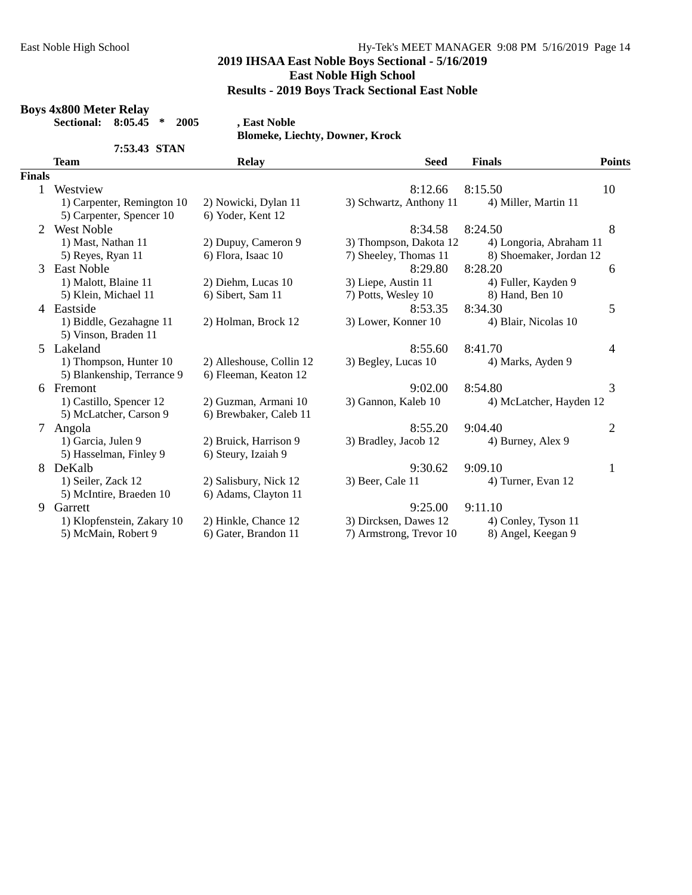## **2019 IHSAA East Noble Boys Sectional - 5/16/2019 East Noble High School**

# **Results - 2019 Boys Track Sectional East Noble**

#### **Boys 4x800 Meter Relay**

**Sectional: 8:05.45 \* 2005 , East Noble**

**Blomeke, Liechty, Downer, Krock**

|               |                            | <b>Blomeke, Liechty, Downer, Krock</b> |                         |                         |                |
|---------------|----------------------------|----------------------------------------|-------------------------|-------------------------|----------------|
|               | 7:53.43 STAN               |                                        |                         |                         |                |
|               | <b>Team</b>                | <b>Relay</b>                           | <b>Seed</b>             | <b>Finals</b>           | <b>Points</b>  |
| <b>Finals</b> |                            |                                        |                         |                         |                |
|               | Westview                   |                                        | 8:12.66                 | 8:15.50                 | 10             |
|               | 1) Carpenter, Remington 10 | 2) Nowicki, Dylan 11                   | 3) Schwartz, Anthony 11 | 4) Miller, Martin 11    |                |
|               | 5) Carpenter, Spencer 10   | 6) Yoder, Kent 12                      |                         |                         |                |
| 2             | <b>West Noble</b>          |                                        | 8:34.58                 | 8:24.50                 | 8              |
|               | 1) Mast, Nathan 11         | 2) Dupuy, Cameron 9                    | 3) Thompson, Dakota 12  | 4) Longoria, Abraham 11 |                |
|               | 5) Reyes, Ryan 11          | 6) Flora, Isaac 10                     | 7) Sheeley, Thomas 11   | 8) Shoemaker, Jordan 12 |                |
| 3             | <b>East Noble</b>          |                                        | 8:29.80                 | 8:28.20                 | 6              |
|               | 1) Malott, Blaine 11       | 2) Diehm, Lucas 10                     | 3) Liepe, Austin 11     | 4) Fuller, Kayden 9     |                |
|               | 5) Klein, Michael 11       | 6) Sibert, Sam 11                      | 7) Potts, Wesley 10     | 8) Hand, Ben 10         |                |
| 4             | Eastside                   |                                        | 8:53.35                 | 8:34.30                 | 5              |
|               | 1) Biddle, Gezahagne 11    | 2) Holman, Brock 12                    | 3) Lower, Konner 10     | 4) Blair, Nicolas 10    |                |
|               | 5) Vinson, Braden 11       |                                        |                         |                         |                |
|               | 5 Lakeland                 |                                        | 8:55.60                 | 8:41.70                 | 4              |
|               | 1) Thompson, Hunter 10     | 2) Alleshouse, Collin 12               | 3) Begley, Lucas 10     | 4) Marks, Ayden 9       |                |
|               | 5) Blankenship, Terrance 9 | 6) Fleeman, Keaton 12                  |                         |                         |                |
|               | 6 Fremont                  |                                        | 9:02.00                 | 8:54.80                 | 3              |
|               | 1) Castillo, Spencer 12    | 2) Guzman, Armani 10                   | 3) Gannon, Kaleb 10     | 4) McLatcher, Hayden 12 |                |
|               | 5) McLatcher, Carson 9     | 6) Brewbaker, Caleb 11                 |                         |                         |                |
| 7             | Angola                     |                                        | 8:55.20                 | 9:04.40                 | $\overline{2}$ |
|               | 1) Garcia, Julen 9         | 2) Bruick, Harrison 9                  | 3) Bradley, Jacob 12    | 4) Burney, Alex 9       |                |
|               | 5) Hasselman, Finley 9     | 6) Steury, Izaiah 9                    |                         |                         |                |
| 8             | DeKalb                     |                                        | 9:30.62                 | 9:09.10                 | 1              |
|               | 1) Seiler, Zack 12         | 2) Salisbury, Nick 12                  | 3) Beer, Cale 11        | 4) Turner, Evan 12      |                |
|               | 5) McIntire, Braeden 10    | 6) Adams, Clayton 11                   |                         |                         |                |
| 9             | Garrett                    |                                        | 9:25.00                 | 9:11.10                 |                |
|               | 1) Klopfenstein, Zakary 10 | 2) Hinkle, Chance 12                   | 3) Dircksen, Dawes 12   | 4) Conley, Tyson 11     |                |
|               | 5) McMain, Robert 9        | 6) Gater, Brandon 11                   | 7) Armstrong, Trevor 10 | 8) Angel, Keegan 9      |                |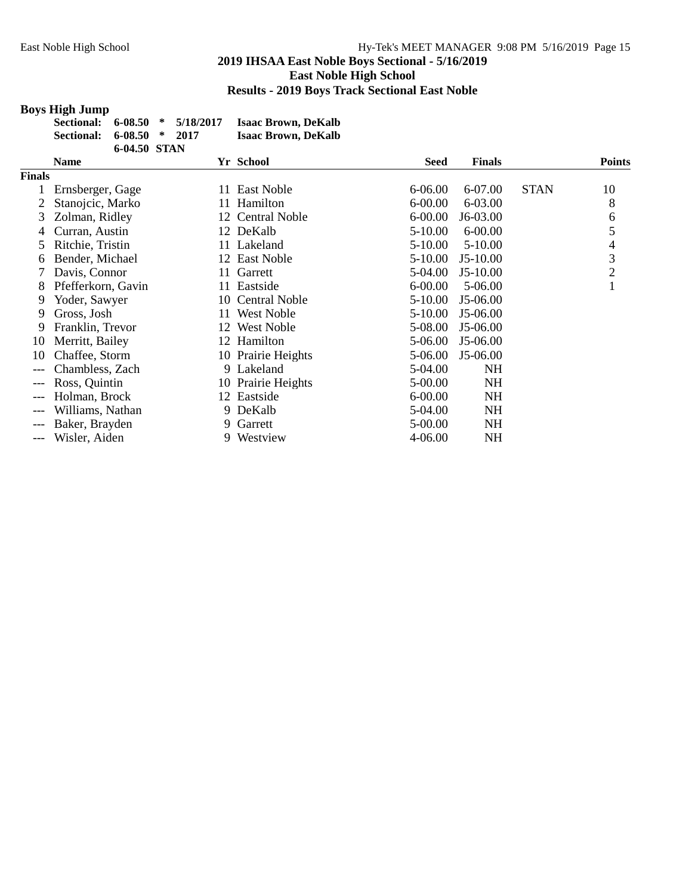# **Boys High Jump**

| Sectional: 6-08.50 * 5/18/2017 |              |  | <b>Isaac Brown, DeKalb</b> |
|--------------------------------|--------------|--|----------------------------|
| Sectional: 6-08.50 * 2017      |              |  | <b>Isaac Brown, DeKalb</b> |
|                                | 6-04.50 STAN |  |                            |

|        | <b>Name</b>        |     | Yr School          | <b>Seed</b> | <b>Finals</b> |             | <b>Points</b>  |
|--------|--------------------|-----|--------------------|-------------|---------------|-------------|----------------|
| Finals |                    |     |                    |             |               |             |                |
|        | Ernsberger, Gage   |     | 11 East Noble      | 6-06.00     | 6-07.00       | <b>STAN</b> | 10             |
|        | Stanojcic, Marko   |     | 11 Hamilton        | $6 - 00.00$ | 6-03.00       |             | 8              |
| 3      | Zolman, Ridley     |     | 12 Central Noble   | $6 - 00.00$ | J6-03.00      |             | 6              |
| 4      | Curran, Austin     |     | 12 DeKalb          | 5-10.00     | $6 - 00.00$   |             | 5              |
| 5      | Ritchie, Tristin   |     | 11 Lakeland        | 5-10.00     | 5-10.00       |             | 4              |
| 6      | Bender, Michael    |     | 12 East Noble      | 5-10.00     | $J5-10.00$    |             | 3              |
|        | Davis, Connor      | 11  | Garrett            | 5-04.00     | $J5-10.00$    |             | $\overline{2}$ |
| 8      | Pfefferkorn, Gavin |     | 11 Eastside        | 6-00.00     | 5-06.00       |             |                |
| 9      | Yoder, Sawyer      |     | 10 Central Noble   | 5-10.00     | J5-06.00      |             |                |
| 9      | Gross, Josh        | 11- | <b>West Noble</b>  | 5-10.00     | J5-06.00      |             |                |
| 9      | Franklin, Trevor   | 12  | West Noble         | 5-08.00     | J5-06.00      |             |                |
| 10     | Merritt, Bailey    |     | 12 Hamilton        | 5-06.00     | J5-06.00      |             |                |
| 10     | Chaffee, Storm     |     | 10 Prairie Heights | 5-06.00     | $J5-06.00$    |             |                |
|        | Chambless, Zach    |     | 9 Lakeland         | 5-04.00     | <b>NH</b>     |             |                |
|        | Ross, Quintin      |     | 10 Prairie Heights | 5-00.00     | <b>NH</b>     |             |                |
|        | Holman, Brock      |     | 12 Eastside        | $6 - 00.00$ | <b>NH</b>     |             |                |
|        | Williams, Nathan   |     | 9 DeKalb           | 5-04.00     | <b>NH</b>     |             |                |
|        | Baker, Brayden     | 9.  | Garrett            | 5-00.00     | <b>NH</b>     |             |                |
| ---    | Wisler, Aiden      | 9.  | Westview           | 4-06.00     | <b>NH</b>     |             |                |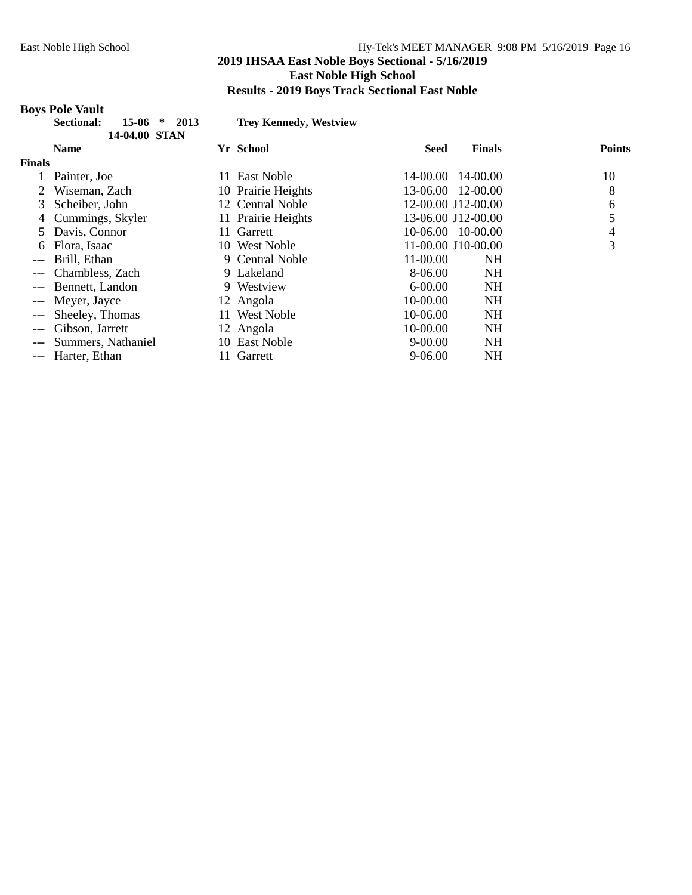## **Boys Pole Vault**

| ., | Sectional: | $15-06$ * 2013 |  |  |
|----|------------|----------------|--|--|
|    |            | 14-04.00 STAN  |  |  |

**Sectional: 15-06 \* 2013 Trey Kennedy, Westview**

|               | LT-VT.VV JIAIN     |                          |             |                       |               |
|---------------|--------------------|--------------------------|-------------|-----------------------|---------------|
|               | <b>Name</b>        | Yr School                | <b>Seed</b> | <b>Finals</b>         | <b>Points</b> |
| <b>Finals</b> |                    |                          |             |                       |               |
|               | Painter, Joe       | <b>East Noble</b><br>11. |             | 14-00.00 14-00.00     | 10            |
|               | Wiseman, Zach      | 10 Prairie Heights       |             | 13-06.00 12-00.00     | 8             |
| 3             | Scheiber, John     | 12 Central Noble         |             | 12-00.00 J12-00.00    | 6             |
| 4             | Cummings, Skyler   | 11 Prairie Heights       |             | 13-06.00 J12-00.00    | 5             |
| 5             | Davis, Connor      | 11 Garrett               |             | $10-06.00$ $10-00.00$ | 4             |
| 6             | Flora, Isaac       | 10 West Noble            |             | 11-00.00 J10-00.00    | 3             |
| $---$         | Brill, Ethan       | 9 Central Noble          | $11-00.00$  | <b>NH</b>             |               |
| $---$         | Chambless, Zach    | 9 Lakeland               | 8-06.00     | NH                    |               |
| $---$         | Bennett, Landon    | 9 Westview               | $6 - 00.00$ | <b>NH</b>             |               |
| $---$         | Meyer, Jayce       | 12 Angola                | 10-00.00    | <b>NH</b>             |               |
| $---$         | Sheeley, Thomas    | West Noble<br>11.        | 10-06.00    | <b>NH</b>             |               |
| $---$         | Gibson, Jarrett    | 12 Angola                | 10-00.00    | <b>NH</b>             |               |
|               | Summers, Nathaniel | 10 East Noble            | $9 - 00.00$ | <b>NH</b>             |               |
| $---$         | Harter, Ethan      | Garrett<br>11.           | $9-06.00$   | <b>NH</b>             |               |
|               |                    |                          |             |                       |               |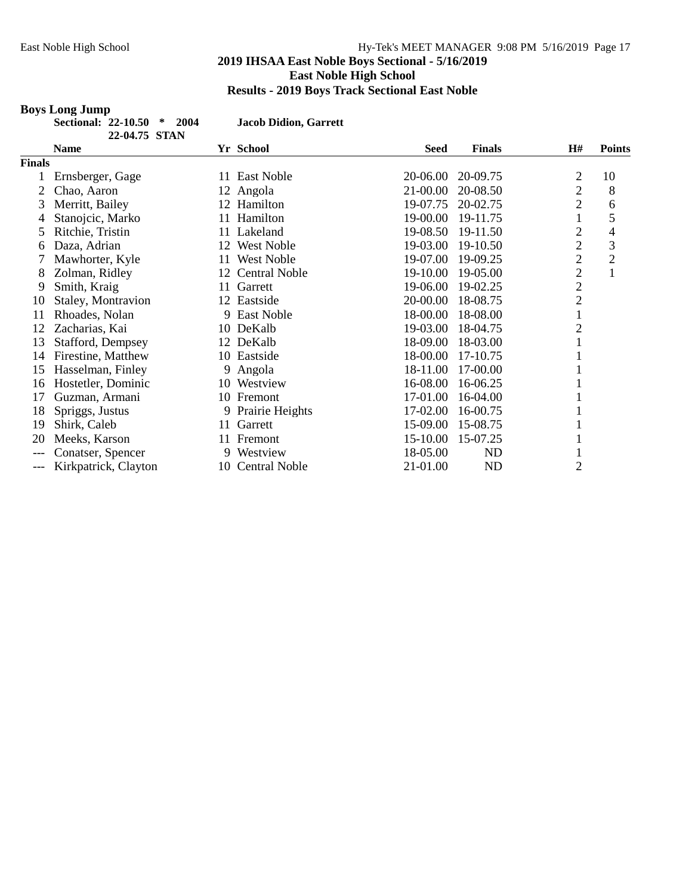# **Boys Long Jump**

| Sectional: 22-10.50 * 2004 |               |  |
|----------------------------|---------------|--|
|                            | 22-04.75 STAN |  |

**Sectional: 22-10.50 \* 2004 Jacob Didion, Garrett**

|               | יובלו שישי           |     |                      |             |               |                |               |
|---------------|----------------------|-----|----------------------|-------------|---------------|----------------|---------------|
|               | <b>Name</b>          |     | Yr School            | <b>Seed</b> | <b>Finals</b> | H#             | <b>Points</b> |
| <b>Finals</b> |                      |     |                      |             |               |                |               |
|               | Ernsberger, Gage     | 11. | East Noble           | 20-06.00    | 20-09.75      | 2              | 10            |
| 2             | Chao, Aaron          |     | 12 Angola            | 21-00.00    | 20-08.50      | $\overline{2}$ | 8             |
| 3             | Merritt, Bailey      |     | 12 Hamilton          | 19-07.75    | 20-02.75      | $\overline{2}$ | 6             |
| 4             | Stanojcic, Marko     |     | 11 Hamilton          | 19-00.00    | 19-11.75      |                | 5             |
| 5             | Ritchie, Tristin     | 11  | Lakeland             | 19-08.50    | 19-11.50      | $\overline{c}$ | 4             |
| 6             | Daza, Adrian         | 12  | <b>West Noble</b>    | 19-03.00    | 19-10.50      | $\overline{2}$ | 3             |
|               | Mawhorter, Kyle      | 11  | West Noble           | 19-07.00    | 19-09.25      | $\overline{2}$ | $\mathbf{2}$  |
| 8             | Zolman, Ridley       | 12  | <b>Central Noble</b> | 19-10.00    | 19-05.00      | $\overline{2}$ | $\mathbf{1}$  |
| 9             | Smith, Kraig         | 11  | Garrett              | 19-06.00    | 19-02.25      | $\overline{c}$ |               |
| 10            | Staley, Montravion   |     | 12 Eastside          | 20-00.00    | 18-08.75      | $\overline{2}$ |               |
| 11            | Rhoades, Nolan       |     | 9 East Noble         | 18-00.00    | 18-08.00      |                |               |
| 12            | Zacharias, Kai       | 10  | DeKalb               | 19-03.00    | 18-04.75      | $\overline{c}$ |               |
| 13            | Stafford, Dempsey    |     | 12 DeKalb            | 18-09.00    | 18-03.00      |                |               |
| 14            | Firestine, Matthew   | 10  | Eastside             | 18-00.00    | 17-10.75      |                |               |
| 15            | Hasselman, Finley    |     | 9 Angola             | 18-11.00    | 17-00.00      |                |               |
| 16            | Hostetler, Dominic   | 10  | Westview             | 16-08.00    | 16-06.25      |                |               |
| 17            | Guzman, Armani       |     | 10 Fremont           | 17-01.00    | 16-04.00      |                |               |
| 18            | Spriggs, Justus      |     | 9 Prairie Heights    | 17-02.00    | 16-00.75      |                |               |
| 19            | Shirk, Caleb         | 11  | Garrett              | 15-09.00    | 15-08.75      |                |               |
| 20            | Meeks, Karson        | 11  | Fremont              | 15-10.00    | 15-07.25      |                |               |
| ---           | Conatser, Spencer    |     | 9 Westview           | 18-05.00    | <b>ND</b>     | 1              |               |
| ---           | Kirkpatrick, Clayton | 10  | <b>Central Noble</b> | 21-01.00    | <b>ND</b>     | $\overline{2}$ |               |
|               |                      |     |                      |             |               |                |               |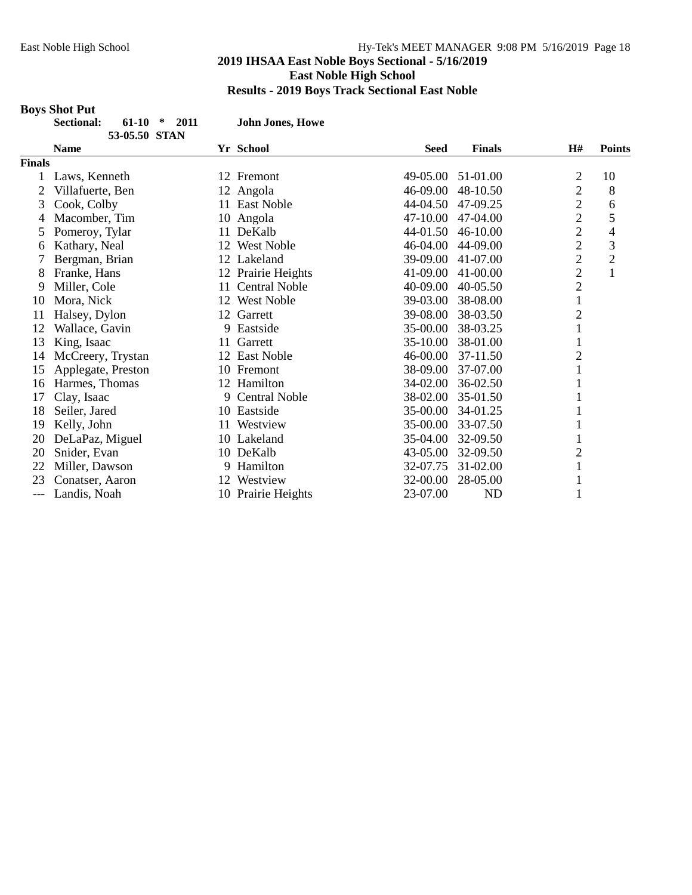# **Boys Shot Put**

| <b>Sectional:</b> | $61-10$ * 2011 |  |  |
|-------------------|----------------|--|--|
|                   | 53-05.50 STAN  |  |  |

**Sectional: 61-10 \* 2011 John Jones, Howe**

|               | <b>Name</b>        | Yr School                  | <b>Seed</b> | <b>Finals</b> | H#             | <b>Points</b>  |
|---------------|--------------------|----------------------------|-------------|---------------|----------------|----------------|
| <b>Finals</b> |                    |                            |             |               |                |                |
|               | Laws, Kenneth      | 12 Fremont                 | 49-05.00    | 51-01.00      | 2              | 10             |
| 2             | Villafuerte, Ben   | Angola<br>12               | 46-09.00    | 48-10.50      | $\overline{c}$ | 8              |
| 3             | Cook, Colby        | 11 East Noble              | 44-04.50    | 47-09.25      | $\overline{c}$ | 6              |
| 4             | Macomber, Tim      | 10 Angola                  | 47-10.00    | 47-04.00      | $\overline{2}$ | 5              |
| 5             | Pomeroy, Tylar     | DeKalb<br>11               | 44-01.50    | 46-10.00      | $\overline{c}$ | $\overline{4}$ |
| 6             | Kathary, Neal      | <b>West Noble</b><br>12    | 46-04.00    | 44-09.00      | $\overline{c}$ | 3              |
|               | Bergman, Brian     | 12 Lakeland                | 39-09.00    | 41-07.00      | $\overline{2}$ | $\mathbf{2}$   |
| 8             | Franke, Hans       | 12 Prairie Heights         | 41-09.00    | 41-00.00      | $\overline{c}$ | $\mathbf{1}$   |
| 9             | Miller, Cole       | <b>Central Noble</b><br>11 | 40-09.00    | 40-05.50      | $\overline{c}$ |                |
| 10            | Mora, Nick         | <b>West Noble</b><br>12    | 39-03.00    | 38-08.00      | $\mathbf{1}$   |                |
| 11            | Halsey, Dylon      | Garrett<br>12              | 39-08.00    | 38-03.50      | $\overline{2}$ |                |
| 12            | Wallace, Gavin     | 9 Eastside                 | 35-00.00    | 38-03.25      |                |                |
| 13            | King, Isaac        | Garrett<br>11              | 35-10.00    | 38-01.00      |                |                |
| 14            | McCreery, Trystan  | 12 East Noble              | 46-00.00    | 37-11.50      | $\overline{c}$ |                |
| 15            | Applegate, Preston | 10 Fremont                 | 38-09.00    | 37-07.00      | 1              |                |
| 16            | Harmes, Thomas     | 12 Hamilton                | 34-02.00    | 36-02.50      |                |                |
| 17            | Clay, Isaac        | <b>Central Noble</b><br>9  | 38-02.00    | 35-01.50      |                |                |
| 18            | Seiler, Jared      | 10 Eastside                | 35-00.00    | 34-01.25      |                |                |
| 19            | Kelly, John        | Westview<br>11             | 35-00.00    | 33-07.50      |                |                |
| 20            | DeLaPaz, Miguel    | 10 Lakeland                | 35-04.00    | 32-09.50      |                |                |
| 20            | Snider, Evan       | 10 DeKalb                  | 43-05.00    | 32-09.50      | $\overline{c}$ |                |
| 22            | Miller, Dawson     | 9 Hamilton                 | 32-07.75    | 31-02.00      | 1              |                |
| 23            | Conatser, Aaron    | Westview<br>12             | 32-00.00    | 28-05.00      |                |                |
| ---           | Landis, Noah       | 10 Prairie Heights         | 23-07.00    | <b>ND</b>     | 1              |                |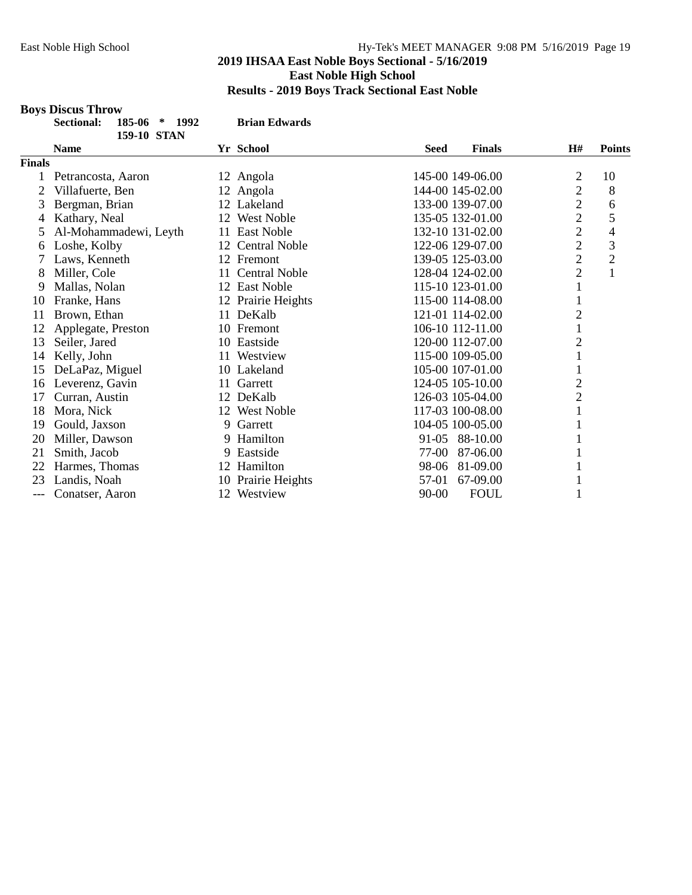## **2019 IHSAA East Noble Boys Sectional - 5/16/2019 East Noble High School Results - 2019 Boys Track Sectional East Noble**

#### **Boys Discus Throw**

|               | <b>Sectional:</b><br>185-06<br>$\ast$<br>1992<br><b>159-10 STAN</b> |    | <b>Brian Edwards</b> |             |                  |                |                |
|---------------|---------------------------------------------------------------------|----|----------------------|-------------|------------------|----------------|----------------|
|               | <b>Name</b>                                                         |    | Yr School            | <b>Seed</b> | <b>Finals</b>    | H#             | <b>Points</b>  |
| <b>Finals</b> |                                                                     |    |                      |             |                  |                |                |
|               | Petrancosta, Aaron                                                  |    | 12 Angola            |             | 145-00 149-06.00 | 2              | 10             |
| 2             | Villafuerte, Ben                                                    |    | 12 Angola            |             | 144-00 145-02.00 | $\overline{2}$ | 8              |
| 3             | Bergman, Brian                                                      | 12 | Lakeland             |             | 133-00 139-07.00 | $\mathbf{2}$   | 6              |
| 4             | Kathary, Neal                                                       | 12 | <b>West Noble</b>    |             | 135-05 132-01.00 | $\overline{2}$ | 5              |
| 5             | Al-Mohammadewi, Leyth                                               | 11 | <b>East Noble</b>    |             | 132-10 131-02.00 | $\overline{c}$ | 4              |
| 6             | Loshe, Kolby                                                        | 12 | <b>Central Noble</b> |             | 122-06 129-07.00 | $\overline{2}$ | 3              |
|               | Laws, Kenneth                                                       |    | 12 Fremont           |             | 139-05 125-03.00 | $\overline{c}$ | $\overline{c}$ |
| 8             | Miller, Cole                                                        | 11 | <b>Central Noble</b> |             | 128-04 124-02.00 | $\overline{2}$ | $\mathbf{1}$   |
| 9             | Mallas, Nolan                                                       |    | 12 East Noble        |             | 115-10 123-01.00 | $\mathbf{1}$   |                |
| 10            | Franke, Hans                                                        |    | 12 Prairie Heights   |             | 115-00 114-08.00 | 1              |                |
| 11            | Brown, Ethan                                                        | 11 | DeKalb               |             | 121-01 114-02.00 | $\overline{c}$ |                |
| 12            | Applegate, Preston                                                  |    | 10 Fremont           |             | 106-10 112-11.00 | $\mathbf{1}$   |                |
| 13            | Seiler, Jared                                                       |    | 10 Eastside          |             | 120-00 112-07.00 | $\overline{c}$ |                |
| 14            | Kelly, John                                                         | 11 | Westview             |             | 115-00 109-05.00 | $\mathbf{1}$   |                |
| 15            | DeLaPaz, Miguel                                                     |    | 10 Lakeland          |             | 105-00 107-01.00 | 1              |                |
| 16            | Leverenz, Gavin                                                     | 11 | Garrett              |             | 124-05 105-10.00 | $\overline{2}$ |                |
| 17            | Curran, Austin                                                      | 12 | DeKalb               |             | 126-03 105-04.00 | $\mathbf{2}$   |                |
| 18            | Mora, Nick                                                          |    | 12 West Noble        |             | 117-03 100-08.00 |                |                |
| 19            | Gould, Jaxson                                                       | 9. | Garrett              |             | 104-05 100-05.00 | 1              |                |
| 20            | Miller, Dawson                                                      |    | 9 Hamilton           | $91-05$     | 88-10.00         | 1              |                |
| 21            | Smith, Jacob                                                        | 9  | Eastside             | 77-00       | 87-06.00         |                |                |
| 22            | Harmes, Thomas                                                      | 12 | Hamilton             | 98-06       | 81-09.00         | 1              |                |
| 23            | Landis, Noah                                                        |    | 10 Prairie Heights   | 57-01       | 67-09.00         | 1              |                |
| $---$         | Conatser, Aaron                                                     | 12 | Westview             | $90 - 00$   | <b>FOUL</b>      | $\mathbf{1}$   |                |